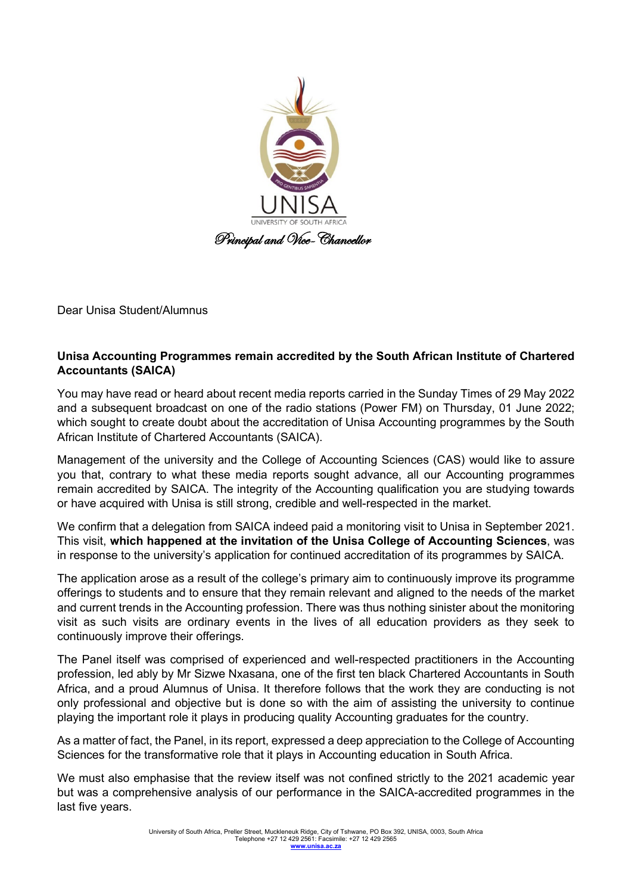

Dear Unisa Student/Alumnus

## **Unisa Accounting Programmes remain accredited by the South African Institute of Chartered Accountants (SAICA)**

You may have read or heard about recent media reports carried in the Sunday Times of 29 May 2022 and a subsequent broadcast on one of the radio stations (Power FM) on Thursday, 01 June 2022; which sought to create doubt about the accreditation of Unisa Accounting programmes by the South African Institute of Chartered Accountants (SAICA).

Management of the university and the College of Accounting Sciences (CAS) would like to assure you that, contrary to what these media reports sought advance, all our Accounting programmes remain accredited by SAICA. The integrity of the Accounting qualification you are studying towards or have acquired with Unisa is still strong, credible and well-respected in the market.

We confirm that a delegation from SAICA indeed paid a monitoring visit to Unisa in September 2021. This visit, **which happened at the invitation of the Unisa College of Accounting Sciences**, was in response to the university's application for continued accreditation of its programmes by SAICA.

The application arose as a result of the college's primary aim to continuously improve its programme offerings to students and to ensure that they remain relevant and aligned to the needs of the market and current trends in the Accounting profession. There was thus nothing sinister about the monitoring visit as such visits are ordinary events in the lives of all education providers as they seek to continuously improve their offerings.

The Panel itself was comprised of experienced and well-respected practitioners in the Accounting profession, led ably by Mr Sizwe Nxasana, one of the first ten black Chartered Accountants in South Africa, and a proud Alumnus of Unisa. It therefore follows that the work they are conducting is not only professional and objective but is done so with the aim of assisting the university to continue playing the important role it plays in producing quality Accounting graduates for the country.

As a matter of fact, the Panel, in its report, expressed a deep appreciation to the College of Accounting Sciences for the transformative role that it plays in Accounting education in South Africa.

We must also emphasise that the review itself was not confined strictly to the 2021 academic year but was a comprehensive analysis of our performance in the SAICA-accredited programmes in the last five years.